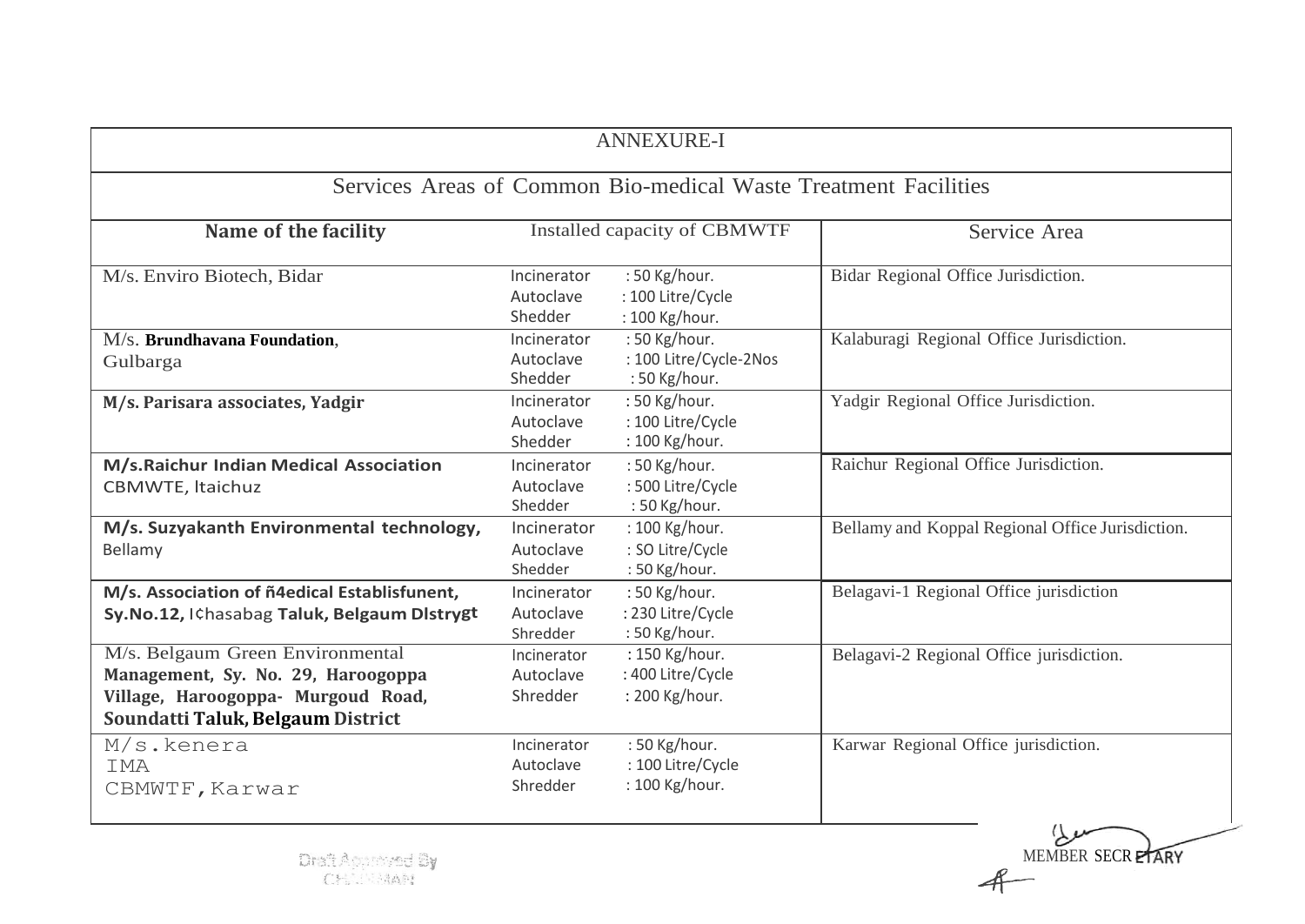| <b>ANNEXURE-I</b>                                                                                                                                 |                                      |                                                          |                                                  |  |  |  |
|---------------------------------------------------------------------------------------------------------------------------------------------------|--------------------------------------|----------------------------------------------------------|--------------------------------------------------|--|--|--|
| Services Areas of Common Bio-medical Waste Treatment Facilities                                                                                   |                                      |                                                          |                                                  |  |  |  |
| Name of the facility                                                                                                                              | Installed capacity of CBMWTF         |                                                          | Service Area                                     |  |  |  |
| M/s. Enviro Biotech, Bidar                                                                                                                        | Incinerator<br>Autoclave<br>Shedder  | : 50 Kg/hour.<br>: 100 Litre/Cycle<br>: 100 Kg/hour.     | Bidar Regional Office Jurisdiction.              |  |  |  |
| M/s. Brundhavana Foundation,<br>Gulbarga                                                                                                          | Incinerator<br>Autoclave<br>Shedder  | : 50 Kg/hour.<br>: 100 Litre/Cycle-2Nos<br>: 50 Kg/hour. | Kalaburagi Regional Office Jurisdiction.         |  |  |  |
| M/s. Parisara associates, Yadgir                                                                                                                  | Incinerator<br>Autoclave<br>Shedder  | : 50 Kg/hour.<br>: 100 Litre/Cycle<br>: 100 Kg/hour.     | Yadgir Regional Office Jurisdiction.             |  |  |  |
| M/s.Raichur Indian Medical Association<br>CBMWTE, Itaichuz                                                                                        | Incinerator<br>Autoclave<br>Shedder  | : 50 Kg/hour.<br>: 500 Litre/Cycle<br>: 50 Kg/hour.      | Raichur Regional Office Jurisdiction.            |  |  |  |
| M/s. Suzyakanth Environmental technology,<br>Bellamy                                                                                              | Incinerator<br>Autoclave<br>Shedder  | : 100 Kg/hour.<br>: SO Litre/Cycle<br>: 50 Kg/hour.      | Bellamy and Koppal Regional Office Jurisdiction. |  |  |  |
| M/s. Association of ñ4edical Establisfunent,<br>Sy.No.12, I¢hasabag Taluk, Belgaum Distrygt                                                       | Incinerator<br>Autoclave<br>Shredder | : 50 Kg/hour.<br>: 230 Litre/Cycle<br>: 50 Kg/hour.      | Belagavi-1 Regional Office jurisdiction          |  |  |  |
| M/s. Belgaum Green Environmental<br>Management, Sy. No. 29, Haroogoppa<br>Village, Haroogoppa- Murgoud Road,<br>Soundatti Taluk, Belgaum District | Incinerator<br>Autoclave<br>Shredder | : 150 Kg/hour.<br>: 400 Litre/Cycle<br>: 200 Kg/hour.    | Belagavi-2 Regional Office jurisdiction.         |  |  |  |
| M/s.kenera<br>IMA<br>CBMWTF, Karwar                                                                                                               | Incinerator<br>Autoclave<br>Shredder | : 50 Kg/hour.<br>: 100 Litre/Cycle<br>: 100 Kg/hour.     | Karwar Regional Office jurisdiction.             |  |  |  |

MEMBER SECRETARY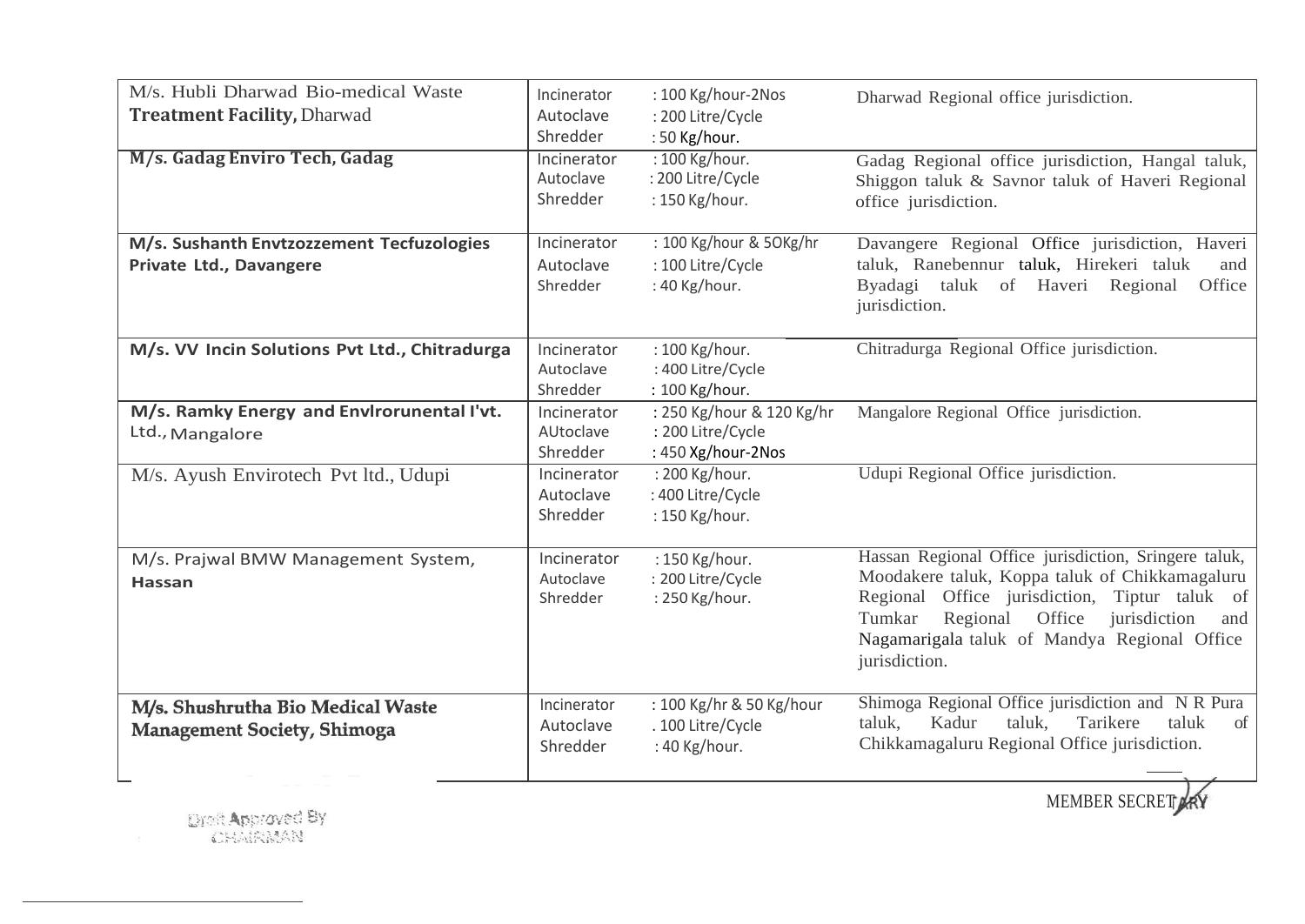| M/s. Hubli Dharwad Bio-medical Waste<br><b>Treatment Facility, Dharwad</b> | Incinerator<br>Autoclave<br>Shredder | : 100 Kg/hour-2Nos<br>: 200 Litre/Cycle<br>: 50 Kg/hour.             | Dharwad Regional office jurisdiction.                                                                                                                                                                                                                                           |
|----------------------------------------------------------------------------|--------------------------------------|----------------------------------------------------------------------|---------------------------------------------------------------------------------------------------------------------------------------------------------------------------------------------------------------------------------------------------------------------------------|
| M/s. Gadag Enviro Tech, Gadag                                              | Incinerator<br>Autoclave<br>Shredder | : 100 Kg/hour.<br>: 200 Litre/Cycle<br>: 150 Kg/hour.                | Gadag Regional office jurisdiction, Hangal taluk,<br>Shiggon taluk & Savnor taluk of Haveri Regional<br>office jurisdiction.                                                                                                                                                    |
| M/s. Sushanth Envtzozzement Tecfuzologies<br>Private Ltd., Davangere       | Incinerator<br>Autoclave<br>Shredder | : 100 Kg/hour & 50Kg/hr<br>: 100 Litre/Cycle<br>: 40 Kg/hour.        | Davangere Regional Office jurisdiction, Haveri<br>taluk, Ranebennur taluk, Hirekeri taluk<br>and<br>Byadagi taluk of Haveri Regional<br>Office<br>jurisdiction.                                                                                                                 |
| M/s. VV Incin Solutions Pvt Ltd., Chitradurga                              | Incinerator<br>Autoclave<br>Shredder | : 100 Kg/hour.<br>: 400 Litre/Cycle<br>: 100 Kg/hour.                | Chitradurga Regional Office jurisdiction.                                                                                                                                                                                                                                       |
| M/s. Ramky Energy and Envirorunental I'vt.<br>Ltd., Mangalore              | Incinerator<br>AUtoclave<br>Shredder | : 250 Kg/hour & 120 Kg/hr<br>: 200 Litre/Cycle<br>: 450 Xg/hour-2Nos | Mangalore Regional Office jurisdiction.                                                                                                                                                                                                                                         |
| M/s. Ayush Envirotech Pvt ltd., Udupi                                      | Incinerator<br>Autoclave<br>Shredder | : 200 Kg/hour.<br>: 400 Litre/Cycle<br>: 150 Kg/hour.                | Udupi Regional Office jurisdiction.                                                                                                                                                                                                                                             |
| M/s. Prajwal BMW Management System,<br><b>Hassan</b>                       | Incinerator<br>Autoclave<br>Shredder | : 150 Kg/hour.<br>: 200 Litre/Cycle<br>: 250 Kg/hour.                | Hassan Regional Office jurisdiction, Sringere taluk,<br>Moodakere taluk, Koppa taluk of Chikkamagaluru<br>Regional Office jurisdiction, Tiptur taluk of<br>Office<br>Tumkar<br>Regional<br>jurisdiction<br>and<br>Nagamarigala taluk of Mandya Regional Office<br>jurisdiction. |
| M/s. Shushrutha Bio Medical Waste<br>Management Society, Shimoga           | Incinerator<br>Autoclave<br>Shredder | : 100 Kg/hr & 50 Kg/hour<br>. 100 Litre/Cycle<br>: 40 Kg/hour.       | Shimoga Regional Office jurisdiction and NR Pura<br>Tarikere<br>taluk<br>Kadur<br>taluk,<br>taluk,<br>of<br>Chikkamagaluru Regional Office jurisdiction.                                                                                                                        |

MEMBER SECRET ARY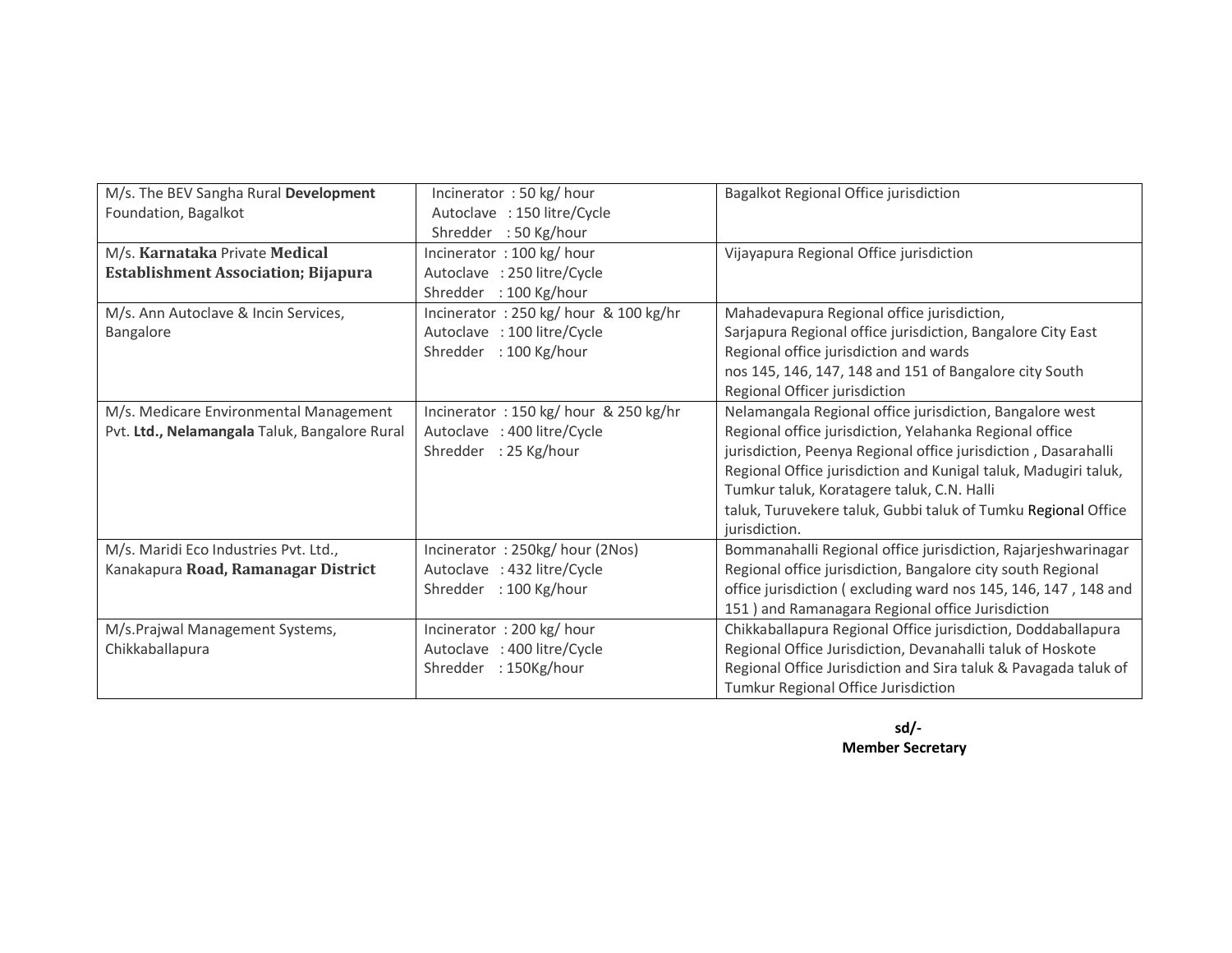| M/s. The BEV Sangha Rural Development         | Incinerator: 50 kg/hour              | Bagalkot Regional Office jurisdiction                           |
|-----------------------------------------------|--------------------------------------|-----------------------------------------------------------------|
| Foundation, Bagalkot                          | Autoclave : 150 litre/Cycle          |                                                                 |
|                                               | Shredder : 50 Kg/hour                |                                                                 |
| M/s. Karnataka Private Medical                | Incinerator: 100 kg/hour             | Vijayapura Regional Office jurisdiction                         |
| <b>Establishment Association; Bijapura</b>    | Autoclave : 250 litre/Cycle          |                                                                 |
|                                               | : 100 Kg/hour<br>Shredder            |                                                                 |
| M/s. Ann Autoclave & Incin Services,          | Incinerator: 250 kg/hour & 100 kg/hr | Mahadevapura Regional office jurisdiction,                      |
| Bangalore                                     | Autoclave : 100 litre/Cycle          | Sarjapura Regional office jurisdiction, Bangalore City East     |
|                                               | Shredder<br>: 100 Kg/hour            | Regional office jurisdiction and wards                          |
|                                               |                                      | nos 145, 146, 147, 148 and 151 of Bangalore city South          |
|                                               |                                      | Regional Officer jurisdiction                                   |
| M/s. Medicare Environmental Management        | Incinerator: 150 kg/hour & 250 kg/hr | Nelamangala Regional office jurisdiction, Bangalore west        |
| Pvt. Ltd., Nelamangala Taluk, Bangalore Rural | Autoclave : 400 litre/Cycle          | Regional office jurisdiction, Yelahanka Regional office         |
|                                               | Shredder : 25 Kg/hour                | jurisdiction, Peenya Regional office jurisdiction, Dasarahalli  |
|                                               |                                      | Regional Office jurisdiction and Kunigal taluk, Madugiri taluk, |
|                                               |                                      | Tumkur taluk, Koratagere taluk, C.N. Halli                      |
|                                               |                                      | taluk, Turuvekere taluk, Gubbi taluk of Tumku Regional Office   |
|                                               |                                      | jurisdiction.                                                   |
| M/s. Maridi Eco Industries Pvt. Ltd.,         | Incinerator: 250kg/hour (2Nos)       | Bommanahalli Regional office jurisdiction, Rajarjeshwarinagar   |
| Kanakapura Road, Ramanagar District           | Autoclave : 432 litre/Cycle          | Regional office jurisdiction, Bangalore city south Regional     |
|                                               | Shredder : 100 Kg/hour               | office jurisdiction (excluding ward nos 145, 146, 147, 148 and  |
|                                               |                                      | 151) and Ramanagara Regional office Jurisdiction                |
| M/s.Prajwal Management Systems,               | Incinerator: 200 kg/hour             | Chikkaballapura Regional Office jurisdiction, Doddaballapura    |
| Chikkaballapura                               | Autoclave : 400 litre/Cycle          | Regional Office Jurisdiction, Devanahalli taluk of Hoskote      |
|                                               | Shredder<br>: 150Kg/hour             | Regional Office Jurisdiction and Sira taluk & Pavagada taluk of |
|                                               |                                      | Tumkur Regional Office Jurisdiction                             |

**sd/- Member Secretary**